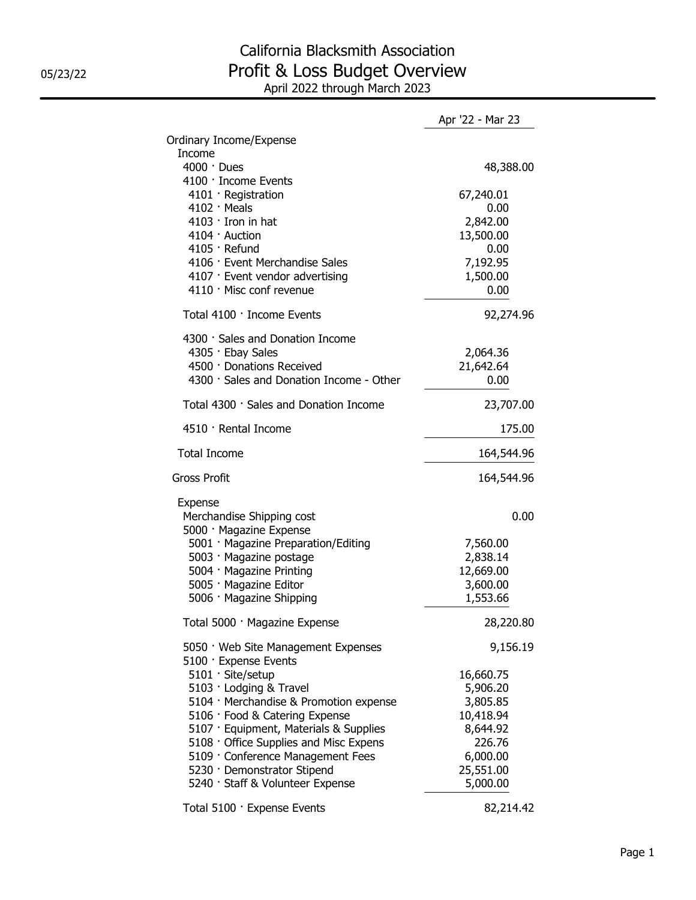## California Blacksmith Association 05/23/22 **Profit & Loss Budget Overview** April 2022 through March 2023

|                                                              | Apr '22 - Mar 23 |
|--------------------------------------------------------------|------------------|
| Ordinary Income/Expense                                      |                  |
| Income<br>4000 · Dues<br>4100 · Income Events                | 48,388.00        |
| 4101 · Registration                                          | 67,240.01        |
| $4102 \cdot$ Meals                                           | 0.00             |
| 4103 · Iron in hat                                           | 2,842.00         |
| 4104 · Auction                                               | 13,500.00        |
| 4105 · Refund                                                | 0.00             |
| 4106 · Event Merchandise Sales                               | 7,192.95         |
| 4107 · Event vendor advertising                              | 1,500.00         |
| 4110 · Misc conf revenue                                     | 0.00             |
| Total 4100 · Income Events                                   | 92,274.96        |
|                                                              |                  |
| 4300 · Sales and Donation Income                             |                  |
| 4305 · Ebay Sales                                            | 2,064.36         |
| 4500 · Donations Received                                    | 21,642.64        |
| 4300 · Sales and Donation Income - Other                     | 0.00             |
| Total 4300 · Sales and Donation Income                       | 23,707.00        |
| 4510 · Rental Income                                         | 175.00           |
| <b>Total Income</b>                                          | 164,544.96       |
| <b>Gross Profit</b>                                          | 164,544.96       |
| Expense                                                      |                  |
| Merchandise Shipping cost                                    | 0.00             |
| 5000 · Magazine Expense                                      |                  |
| 5001 · Magazine Preparation/Editing                          | 7,560.00         |
| 5003 · Magazine postage                                      | 2,838.14         |
| 5004 · Magazine Printing                                     | 12,669.00        |
| 5005 · Magazine Editor                                       | 3,600.00         |
| 5006 · Magazine Shipping                                     | 1,553.66         |
| Total 5000 · Magazine Expense                                | 28,220.80        |
| 5050 · Web Site Management Expenses<br>5100 · Expense Events | 9,156.19         |
| 5101 · Site/setup                                            | 16,660.75        |
| 5103 · Lodging & Travel                                      | 5,906.20         |
| 5104 · Merchandise & Promotion expense                       | 3,805.85         |
| 5106 · Food & Catering Expense                               | 10,418.94        |
| 5107 · Equipment, Materials & Supplies                       | 8,644.92         |
| 5108 Office Supplies and Misc Expens                         | 226.76           |
| 5109 · Conference Management Fees                            | 6,000.00         |
| 5230 · Demonstrator Stipend                                  | 25,551.00        |
| 5240 · Staff & Volunteer Expense                             | 5,000.00         |
| Total 5100 · Expense Events                                  | 82,214.42        |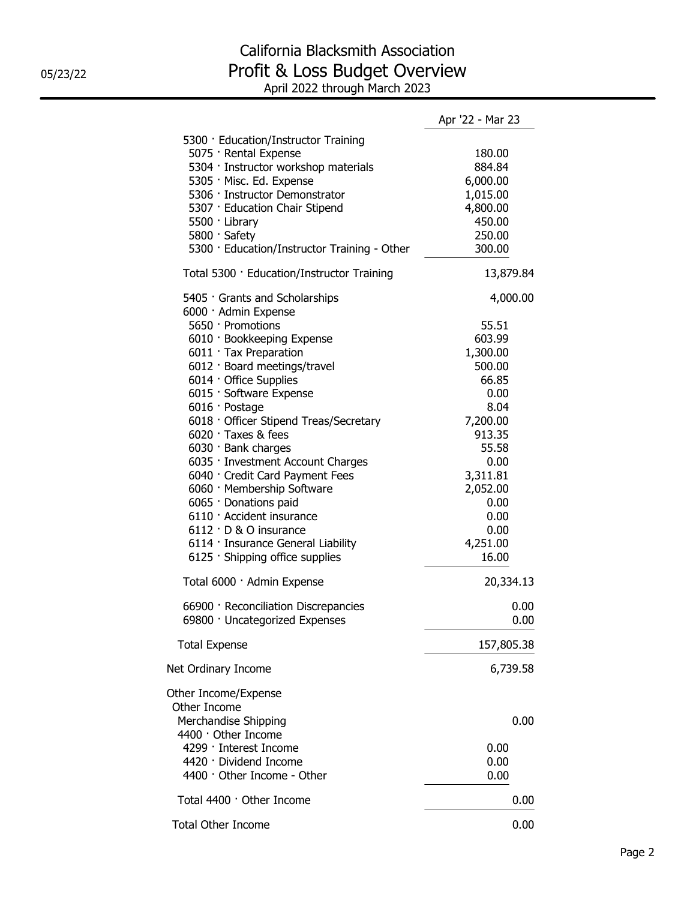## California Blacksmith Association 05/23/22 **Profit & Loss Budget Overview** April 2022 through March 2023

|                                              | Apr '22 - Mar 23 |
|----------------------------------------------|------------------|
| 5300 · Education/Instructor Training         |                  |
| 5075 · Rental Expense                        | 180.00           |
| 5304 · Instructor workshop materials         | 884.84           |
| 5305 · Misc. Ed. Expense                     | 6,000.00         |
| 5306 · Instructor Demonstrator               | 1,015.00         |
| 5307 · Education Chair Stipend               | 4,800.00         |
| 5500 · Library                               | 450.00           |
| 5800 · Safety                                | 250.00           |
| 5300 · Education/Instructor Training - Other | 300.00           |
| Total 5300 · Education/Instructor Training   | 13,879.84        |
| 5405 Grants and Scholarships                 | 4,000.00         |
| 6000 · Admin Expense                         |                  |
| 5650 · Promotions                            | 55.51            |
| 6010 · Bookkeeping Expense                   | 603.99           |
| 6011 · Tax Preparation                       | 1,300.00         |
| 6012 · Board meetings/travel                 | 500.00           |
| 6014 · Office Supplies                       | 66.85            |
| 6015 · Software Expense                      | 0.00             |
| 6016 · Postage                               | 8.04             |
| 6018 Officer Stipend Treas/Secretary         | 7,200.00         |
| $6020$ $\cdot$ Taxes & fees                  | 913.35           |
| 6030 · Bank charges                          | 55.58            |
| 6035 · Investment Account Charges            | 0.00             |
| 6040 · Credit Card Payment Fees              | 3,311.81         |
| 6060 · Membership Software                   | 2,052.00         |
|                                              | 0.00             |
| 6065 · Donations paid                        |                  |
| 6110 · Accident insurance                    | 0.00             |
| 6112 · D & O insurance                       | 0.00             |
| 6114 · Insurance General Liability           | 4,251.00         |
| 6125 · Shipping office supplies              | 16.00            |
| Total 6000 · Admin Expense                   | 20,334.13        |
| 66900 · Reconciliation Discrepancies         | 0.00             |
| 69800 · Uncategorized Expenses               | 0.00             |
| <b>Total Expense</b>                         | 157,805.38       |
| Net Ordinary Income                          | 6,739.58         |
| Other Income/Expense                         |                  |
| Other Income                                 |                  |
| Merchandise Shipping                         | 0.00             |
| 4400 · Other Income                          |                  |
| 4299 · Interest Income                       | 0.00             |
| 4420 · Dividend Income                       | 0.00             |
| 4400 · Other Income - Other                  | 0.00             |
| Total 4400 · Other Income                    | 0.00             |
| <b>Total Other Income</b>                    | 0.00             |
|                                              |                  |